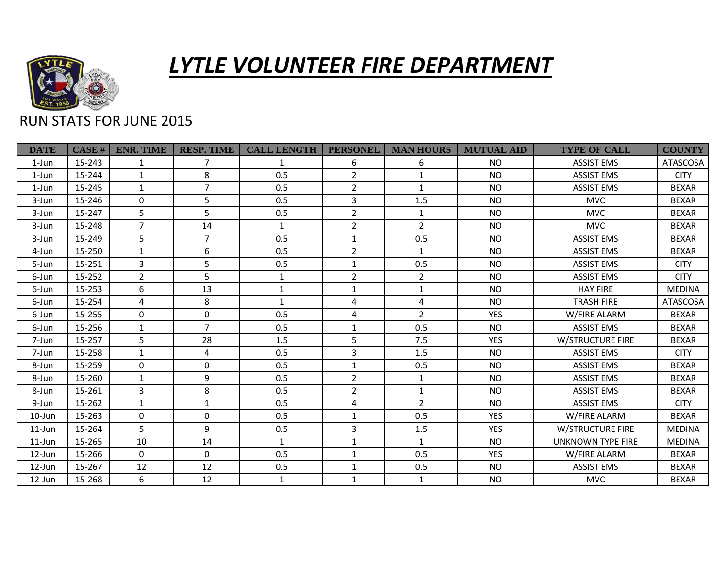

## *LYTLE VOLUNTEER FIRE DEPARTMENT*

## RUN STATS FOR JUNE 2015

| <b>DATE</b> | CASE H | <b>ENR. TIME</b> | <b>RESP. TIME</b> | <b>CALL LENGTH</b> | <b>PERSONEL</b> | <b>MAN HOURS</b> | <b>MUTUAL AID</b> | <b>TYPE OF CALL</b>     | <b>COUNTY</b>   |
|-------------|--------|------------------|-------------------|--------------------|-----------------|------------------|-------------------|-------------------------|-----------------|
| $1$ -Jun    | 15-243 | 1                | 7                 | $\mathbf{1}$       | 6               | 6                | <b>NO</b>         | <b>ASSIST EMS</b>       | <b>ATASCOSA</b> |
| 1-Jun       | 15-244 | $\mathbf{1}$     | 8                 | 0.5                | $\overline{2}$  | $\mathbf{1}$     | <b>NO</b>         | <b>ASSIST EMS</b>       | <b>CITY</b>     |
| 1-Jun       | 15-245 | $\mathbf{1}$     | $\overline{7}$    | 0.5                | $\overline{2}$  | $\mathbf{1}$     | <b>NO</b>         | <b>ASSIST EMS</b>       | <b>BEXAR</b>    |
| 3-Jun       | 15-246 | $\Omega$         | 5                 | 0.5                | 3               | 1.5              | <b>NO</b>         | <b>MVC</b>              | <b>BEXAR</b>    |
| 3-Jun       | 15-247 | 5                | 5                 | 0.5                | $\overline{2}$  | $\mathbf{1}$     | <b>NO</b>         | <b>MVC</b>              | <b>BEXAR</b>    |
| 3-Jun       | 15-248 | $\overline{7}$   | 14                | $\mathbf{1}$       | $\overline{2}$  | $2^{\circ}$      | <b>NO</b>         | <b>MVC</b>              | <b>BEXAR</b>    |
| 3-Jun       | 15-249 | 5                | $\overline{7}$    | 0.5                | $\mathbf{1}$    | 0.5              | <b>NO</b>         | <b>ASSIST EMS</b>       | <b>BEXAR</b>    |
| 4-Jun       | 15-250 | $\mathbf{1}$     | 6                 | 0.5                | $\overline{2}$  | $\mathbf{1}$     | <b>NO</b>         | <b>ASSIST EMS</b>       | <b>BEXAR</b>    |
| 5-Jun       | 15-251 | 3                | 5                 | 0.5                | 1               | 0.5              | <b>NO</b>         | <b>ASSIST EMS</b>       | <b>CITY</b>     |
| 6-Jun       | 15-252 | $\overline{2}$   | 5                 | 1                  | $\overline{2}$  | $\overline{2}$   | <b>NO</b>         | <b>ASSIST EMS</b>       | <b>CITY</b>     |
| 6-Jun       | 15-253 | 6                | 13                | $\mathbf{1}$       | $\mathbf{1}$    | $\mathbf{1}$     | <b>NO</b>         | <b>HAY FIRE</b>         | <b>MEDINA</b>   |
| 6-Jun       | 15-254 | 4                | 8                 | $\mathbf{1}$       | 4               | 4                | <b>NO</b>         | <b>TRASH FIRE</b>       | <b>ATASCOSA</b> |
| 6-Jun       | 15-255 | $\Omega$         | $\mathbf 0$       | 0.5                | 4               | $2^{\circ}$      | <b>YES</b>        | W/FIRE ALARM            | <b>BEXAR</b>    |
| 6-Jun       | 15-256 | $\mathbf{1}$     | $\overline{7}$    | 0.5                | $\mathbf{1}$    | 0.5              | <b>NO</b>         | <b>ASSIST EMS</b>       | <b>BEXAR</b>    |
| 7-Jun       | 15-257 | 5                | 28                | 1.5                | 5               | 7.5              | <b>YES</b>        | <b>W/STRUCTURE FIRE</b> | <b>BEXAR</b>    |
| 7-Jun       | 15-258 | $\mathbf{1}$     | 4                 | 0.5                | 3               | 1.5              | <b>NO</b>         | <b>ASSIST EMS</b>       | <b>CITY</b>     |
| 8-Jun       | 15-259 | $\Omega$         | $\mathbf 0$       | 0.5                | $\mathbf{1}$    | 0.5              | <b>NO</b>         | <b>ASSIST EMS</b>       | <b>BEXAR</b>    |
| 8-Jun       | 15-260 | 1                | 9                 | 0.5                | $\overline{2}$  | $\mathbf{1}$     | <b>NO</b>         | <b>ASSIST EMS</b>       | <b>BEXAR</b>    |
| 8-Jun       | 15-261 | $\overline{3}$   | 8                 | 0.5                | $\overline{2}$  | $\mathbf{1}$     | <b>NO</b>         | <b>ASSIST EMS</b>       | <b>BEXAR</b>    |
| 9-Jun       | 15-262 | $\mathbf{1}$     | $\mathbf{1}$      | 0.5                | $\overline{4}$  | $2^{\circ}$      | <b>NO</b>         | <b>ASSIST EMS</b>       | <b>CITY</b>     |
| $10$ -Jun   | 15-263 | $\Omega$         | $\Omega$          | 0.5                | $\mathbf{1}$    | 0.5              | <b>YES</b>        | W/FIRE ALARM            | <b>BEXAR</b>    |
| $11$ -Jun   | 15-264 | 5                | 9                 | 0.5                | $\overline{3}$  | 1.5              | <b>YES</b>        | W/STRUCTURE FIRE        | <b>MEDINA</b>   |
| $11$ -Jun   | 15-265 | 10               | 14                | $\mathbf{1}$       | $\mathbf{1}$    | $\mathbf{1}$     | <b>NO</b>         | UNKNOWN TYPE FIRE       | <b>MEDINA</b>   |
| $12$ -Jun   | 15-266 | $\mathbf 0$      | $\mathbf 0$       | 0.5                | $\mathbf{1}$    | 0.5              | <b>YES</b>        | W/FIRE ALARM            | <b>BEXAR</b>    |
| $12$ -Jun   | 15-267 | 12               | 12                | 0.5                | $\mathbf{1}$    | 0.5              | <b>NO</b>         | <b>ASSIST EMS</b>       | <b>BEXAR</b>    |
| $12$ -Jun   | 15-268 | 6                | 12                | $\mathbf{1}$       | $\mathbf{1}$    | $\mathbf{1}$     | <b>NO</b>         | <b>MVC</b>              | <b>BEXAR</b>    |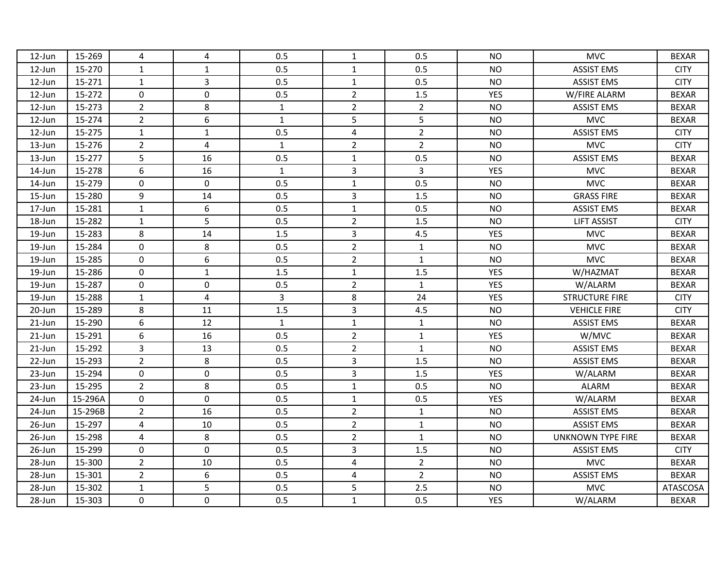| 12-Jun    | 15-269  | 4              | 4              | 0.5            | $\mathbf{1}$            | 0.5            | <b>NO</b>  | <b>MVC</b>               | <b>BEXAR</b> |
|-----------|---------|----------------|----------------|----------------|-------------------------|----------------|------------|--------------------------|--------------|
| 12-Jun    | 15-270  | $\mathbf{1}$   | $\mathbf{1}$   | 0.5            | $\mathbf{1}$            | 0.5            | <b>NO</b>  | <b>ASSIST EMS</b>        | <b>CITY</b>  |
| 12-Jun    | 15-271  | $\mathbf{1}$   | $\overline{3}$ | 0.5            | $\mathbf{1}$            | 0.5            | <b>NO</b>  | <b>ASSIST EMS</b>        | <b>CITY</b>  |
| 12-Jun    | 15-272  | 0              | 0              | 0.5            | $\overline{2}$          | $1.5\,$        | YES        | W/FIRE ALARM             | <b>BEXAR</b> |
| 12-Jun    | 15-273  | $\overline{2}$ | 8              | $\mathbf{1}$   | $\overline{2}$          | $\overline{2}$ | <b>NO</b>  | <b>ASSIST EMS</b>        | <b>BEXAR</b> |
| 12-Jun    | 15-274  | $\overline{2}$ | 6              | $\mathbf{1}$   | 5                       | 5              | <b>NO</b>  | <b>MVC</b>               | <b>BEXAR</b> |
| 12-Jun    | 15-275  | $\mathbf{1}$   | $\mathbf{1}$   | 0.5            | $\overline{4}$          | $\overline{2}$ | <b>NO</b>  | <b>ASSIST EMS</b>        | <b>CITY</b>  |
| 13-Jun    | 15-276  | $\overline{2}$ | $\overline{4}$ | $\mathbf{1}$   | $\overline{2}$          | $\overline{2}$ | <b>NO</b>  | <b>MVC</b>               | <b>CITY</b>  |
| 13-Jun    | 15-277  | 5              | 16             | 0.5            | $1\,$                   | 0.5            | <b>NO</b>  | <b>ASSIST EMS</b>        | <b>BEXAR</b> |
| 14-Jun    | 15-278  | 6              | 16             | $\mathbf{1}$   | 3                       | $\overline{3}$ | YES        | <b>MVC</b>               | <b>BEXAR</b> |
| 14-Jun    | 15-279  | $\mathbf 0$    | $\mathbf 0$    | 0.5            | $\mathbf{1}$            | 0.5            | <b>NO</b>  | <b>MVC</b>               | <b>BEXAR</b> |
| 15-Jun    | 15-280  | 9              | 14             | 0.5            | 3                       | 1.5            | <b>NO</b>  | <b>GRASS FIRE</b>        | <b>BEXAR</b> |
| 17-Jun    | 15-281  | $1\,$          | 6              | 0.5            | $1\,$                   | 0.5            | <b>NO</b>  | <b>ASSIST EMS</b>        | <b>BEXAR</b> |
| 18-Jun    | 15-282  | $1\,$          | 5              | 0.5            | $\overline{2}$          | $1.5\,$        | <b>NO</b>  | <b>LIFT ASSIST</b>       | <b>CITY</b>  |
| 19-Jun    | 15-283  | 8              | 14             | 1.5            | $\overline{3}$          | 4.5            | YES        | <b>MVC</b>               | <b>BEXAR</b> |
| 19-Jun    | 15-284  | $\mathbf 0$    | 8              | 0.5            | $\overline{2}$          | $\mathbf{1}$   | <b>NO</b>  | <b>MVC</b>               | <b>BEXAR</b> |
| 19-Jun    | 15-285  | $\mathbf 0$    | 6              | 0.5            | $\overline{2}$          | $\mathbf{1}$   | <b>NO</b>  | <b>MVC</b>               | <b>BEXAR</b> |
| 19-Jun    | 15-286  | $\mathbf 0$    | $1\,$          | 1.5            | $1\,$                   | $1.5$          | YES        | W/HAZMAT                 | <b>BEXAR</b> |
| 19-Jun    | 15-287  | $\mathbf 0$    | $\mathbf 0$    | 0.5            | $\overline{2}$          | $\mathbf{1}$   | YES        | W/ALARM                  | <b>BEXAR</b> |
| 19-Jun    | 15-288  | $1\,$          | $\overline{4}$ | $\overline{3}$ | $\,8\,$                 | 24             | <b>YES</b> | <b>STRUCTURE FIRE</b>    | <b>CITY</b>  |
| 20-Jun    | 15-289  | 8              | 11             | 1.5            | 3                       | 4.5            | <b>NO</b>  | <b>VEHICLE FIRE</b>      | <b>CITY</b>  |
| $21$ -Jun | 15-290  | 6              | 12             | $\mathbf{1}$   | $1\,$                   | $\mathbf{1}$   | <b>NO</b>  | <b>ASSIST EMS</b>        | <b>BEXAR</b> |
| $21$ -Jun | 15-291  | 6              | 16             | 0.5            | $\overline{2}$          | $\mathbf{1}$   | <b>YES</b> | W/MVC                    | <b>BEXAR</b> |
| 21-Jun    | 15-292  | 3              | 13             | 0.5            | $\overline{2}$          | $\mathbf 1$    | <b>NO</b>  | <b>ASSIST EMS</b>        | <b>BEXAR</b> |
| 22-Jun    | 15-293  | $\overline{2}$ | 8              | 0.5            | 3                       | 1.5            | <b>NO</b>  | <b>ASSIST EMS</b>        | <b>BEXAR</b> |
| 23-Jun    | 15-294  | $\mathbf 0$    | $\mathbf 0$    | 0.5            | $\overline{\mathbf{3}}$ | 1.5            | <b>YES</b> | W/ALARM                  | <b>BEXAR</b> |
| 23-Jun    | 15-295  | $\overline{2}$ | 8              | 0.5            | $1\,$                   | 0.5            | <b>NO</b>  | <b>ALARM</b>             | <b>BEXAR</b> |
| 24-Jun    | 15-296A | $\mathbf 0$    | $\mathbf 0$    | 0.5            | $1\,$                   | 0.5            | YES        | W/ALARM                  | <b>BEXAR</b> |
| 24-Jun    | 15-296B | $\overline{2}$ | 16             | 0.5            | $\overline{2}$          | $\mathbf{1}$   | <b>NO</b>  | <b>ASSIST EMS</b>        | <b>BEXAR</b> |
| 26-Jun    | 15-297  | $\overline{4}$ | 10             | 0.5            | $\overline{2}$          | $\mathbf 1$    | <b>NO</b>  | <b>ASSIST EMS</b>        | <b>BEXAR</b> |
| 26-Jun    | 15-298  | 4              | 8              | 0.5            | $\overline{2}$          | $\mathbf{1}$   | <b>NO</b>  | <b>UNKNOWN TYPE FIRE</b> | <b>BEXAR</b> |
| 26-Jun    | 15-299  | 0              | $\mathbf 0$    | 0.5            | 3                       | $1.5\,$        | <b>NO</b>  | <b>ASSIST EMS</b>        | <b>CITY</b>  |
| 28-Jun    | 15-300  | $\overline{2}$ | 10             | 0.5            | $\overline{\mathbf{4}}$ | $\overline{2}$ | <b>NO</b>  | <b>MVC</b>               | <b>BEXAR</b> |
| 28-Jun    | 15-301  | $\overline{2}$ | 6              | 0.5            | 4                       | $\overline{2}$ | <b>NO</b>  | <b>ASSIST EMS</b>        | <b>BEXAR</b> |
| 28-Jun    | 15-302  | $\mathbf 1$    | 5              | 0.5            | 5                       | 2.5            | <b>NO</b>  | <b>MVC</b>               | ATASCOSA     |
| 28-Jun    | 15-303  | $\mathbf 0$    | $\mathbf 0$    | 0.5            | $\mathbf 1$             | 0.5            | YES        | W/ALARM                  | <b>BEXAR</b> |